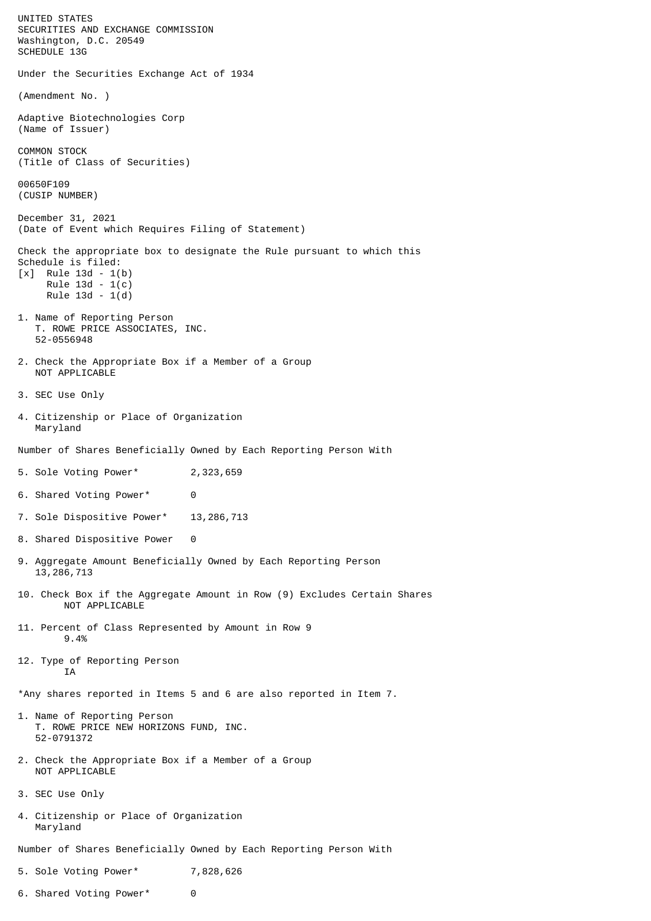UNITED STATES SECURITIES AND EXCHANGE COMMISSION Washington, D.C. 20549 SCHEDULE 13G Under the Securities Exchange Act of 1934 (Amendment No. ) Adaptive Biotechnologies Corp (Name of Issuer) COMMON STOCK (Title of Class of Securities) 00650F109 (CUSIP NUMBER) December 31, 2021 (Date of Event which Requires Filing of Statement) Check the appropriate box to designate the Rule pursuant to which this Schedule is filed: [x] Rule 13d - 1(b) Rule 13d - 1(c) Rule 13d - 1(d) 1. Name of Reporting Person T. ROWE PRICE ASSOCIATES, INC. 52-0556948 2. Check the Appropriate Box if a Member of a Group NOT APPLICABLE 3. SEC Use Only 4. Citizenship or Place of Organization Maryland Number of Shares Beneficially Owned by Each Reporting Person With 5. Sole Voting Power\* 2,323,659 6. Shared Voting Power\* 0 7. Sole Dispositive Power\* 13,286,713 8. Shared Dispositive Power 0 9. Aggregate Amount Beneficially Owned by Each Reporting Person 13,286,713 10. Check Box if the Aggregate Amount in Row (9) Excludes Certain Shares NOT APPLICABLE 11. Percent of Class Represented by Amount in Row 9 9.4% 12. Type of Reporting Person **TA** \*Any shares reported in Items 5 and 6 are also reported in Item 7. 1. Name of Reporting Person T. ROWE PRICE NEW HORIZONS FUND, INC. 52-0791372 2. Check the Appropriate Box if a Member of a Group NOT APPLICABLE 3. SEC Use Only 4. Citizenship or Place of Organization Maryland Number of Shares Beneficially Owned by Each Reporting Person With 5. Sole Voting Power\* 7,828,626

- 
- 6. Shared Voting Power\* 0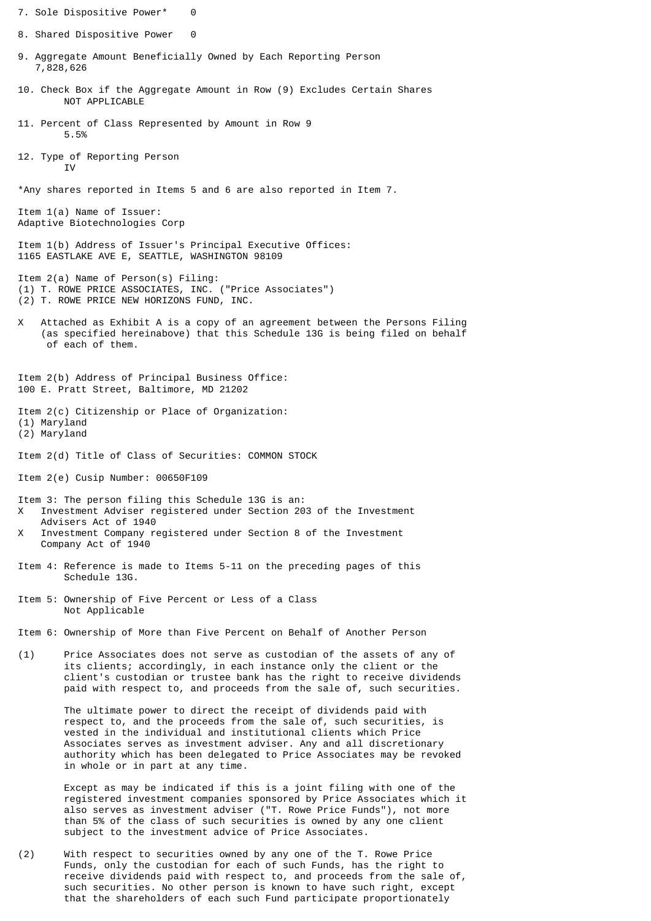- 7. Sole Dispositive Power\* 0 8. Shared Dispositive Power 0 9. Aggregate Amount Beneficially Owned by Each Reporting Person 7,828,626 10. Check Box if the Aggregate Amount in Row (9) Excludes Certain Shares NOT APPLICABLE 11. Percent of Class Represented by Amount in Row 9 5.5% 12. Type of Reporting Person T<sub>V</sub> \*Any shares reported in Items 5 and 6 are also reported in Item 7. Item 1(a) Name of Issuer: Adaptive Biotechnologies Corp Item 1(b) Address of Issuer's Principal Executive Offices: 1165 EASTLAKE AVE E, SEATTLE, WASHINGTON 98109 Item 2(a) Name of Person(s) Filing: (1) T. ROWE PRICE ASSOCIATES, INC. ("Price Associates") (2) T. ROWE PRICE NEW HORIZONS FUND, INC. X Attached as Exhibit A is a copy of an agreement between the Persons Filing (as specified hereinabove) that this Schedule 13G is being filed on behalf of each of them. Item 2(b) Address of Principal Business Office: 100 E. Pratt Street, Baltimore, MD 21202 Item 2(c) Citizenship or Place of Organization: (1) Maryland (2) Maryland Item 2(d) Title of Class of Securities: COMMON STOCK Item 2(e) Cusip Number: 00650F109 Item 3: The person filing this Schedule 13G is an: X Investment Adviser registered under Section 203 of the Investment Advisers Act of 1940 X Investment Company registered under Section 8 of the Investment Company Act of 1940 Item 4: Reference is made to Items 5-11 on the preceding pages of this Schedule 13G. Item 5: Ownership of Five Percent or Less of a Class Not Applicable Item 6: Ownership of More than Five Percent on Behalf of Another Person (1) Price Associates does not serve as custodian of the assets of any of its clients; accordingly, in each instance only the client or the client's custodian or trustee bank has the right to receive dividends paid with respect to, and proceeds from the sale of, such securities. The ultimate power to direct the receipt of dividends paid with respect to, and the proceeds from the sale of, such securities, is vested in the individual and institutional clients which Price Associates serves as investment adviser. Any and all discretionary authority which has been delegated to Price Associates may be revoked in whole or in part at any time. Except as may be indicated if this is a joint filing with one of the registered investment companies sponsored by Price Associates which it also serves as investment adviser ("T. Rowe Price Funds"), not more than 5% of the class of such securities is owned by any one client
- (2) With respect to securities owned by any one of the T. Rowe Price Funds, only the custodian for each of such Funds, has the right to receive dividends paid with respect to, and proceeds from the sale of, such securities. No other person is known to have such right, except that the shareholders of each such Fund participate proportionately

subject to the investment advice of Price Associates.